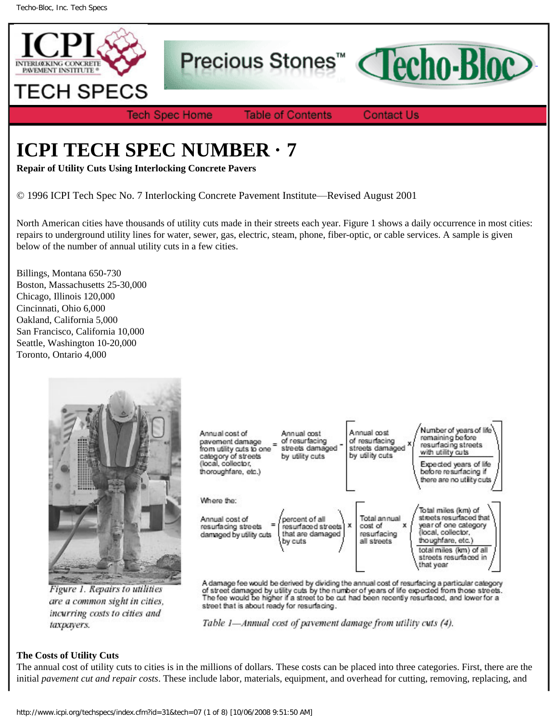

Precious Stones<sup>™</sup>



**Tech Spec Home** 

**Table of Contents** 

**Contact Us** 

# **ICPI TECH SPEC NUMBER · 7**

**Repair of Utility Cuts Using Interlocking Concrete Pavers**

© 1996 ICPI Tech Spec No. 7 Interlocking Concrete Pavement Institute—Revised August 2001

North American cities have thousands of utility cuts made in their streets each year. Figure 1 shows a daily occurrence in most cities: repairs to underground utility lines for water, sewer, gas, electric, steam, phone, fiber-optic, or cable services. A sample is given below of the number of annual utility cuts in a few cities.

Billings, Montana 650-730 Boston, Massachusetts 25-30,000 Chicago, Illinois 120,000 Cincinnati, Ohio 6,000 Oakland, California 5,000 San Francisco, California 10,000 Seattle, Washington 10-20,000 Toronto, Ontario 4,000



Figure 1. Repairs to utilities are a common sight in cities, incurring costs to cities and taxpayers.

| Annual cost of<br>pavement damage<br>from utility cuts to one<br>category of streets<br>(local, collector,<br>thoroughfare, etc.) | Annual cost<br>of resurfacing<br>streets damaged<br>by utility cuts | Annual cost<br>of resurfacing<br>streets damaged<br>by utility cuts | Number of years of life<br>remaining before<br>resurfacing streets<br>with utility cuts<br>Expected years of life<br>before resurfacing if<br>there are no utility cuts.           |
|-----------------------------------------------------------------------------------------------------------------------------------|---------------------------------------------------------------------|---------------------------------------------------------------------|------------------------------------------------------------------------------------------------------------------------------------------------------------------------------------|
| Where the:<br>Annual cost of<br>resurfacing streets<br>damaged by utility cuts                                                    | percent of all<br>resurfaced streets<br>that are damaged<br>by cuts | Total annual<br>cost of<br>x<br>x<br>resurfacing<br>all streets     | Total miles (km) of<br>streets resurfaced that<br>year of one category<br>(local, collector,<br>thoughfare, etc.)<br>total miles (km) of all<br>streets resurfaced in<br>that year |

 $\blacksquare$ 

A damage fee would be derived by dividing the annual cost of resurfacing a particular category<br>of street damaged by utility cuts by the number of years of life expected from those streets.<br>The fee would be higher if a stre street that is about ready for resurfacing.



# **The Costs of Utility Cuts**

The annual cost of utility cuts to cities is in the millions of dollars. These costs can be placed into three categories. First, there are the initial *pavement cut and repair costs*. These include labor, materials, equipment, and overhead for cutting, removing, replacing, and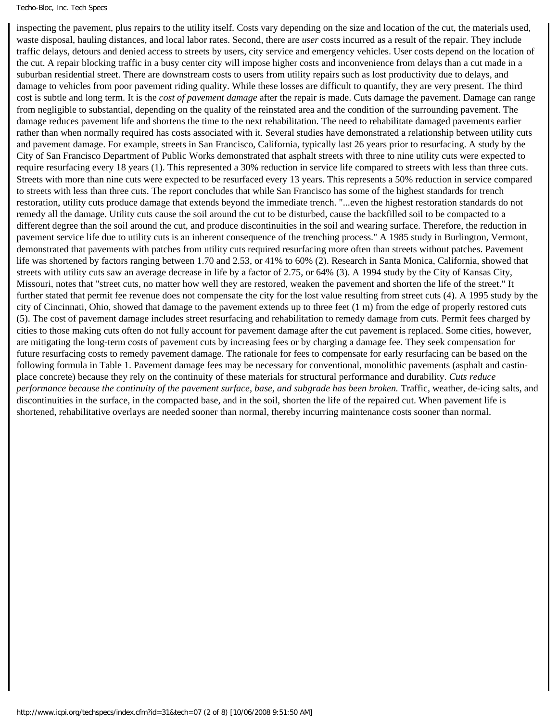#### Techo-Bloc, Inc. Tech Specs

inspecting the pavement, plus repairs to the utility itself. Costs vary depending on the size and location of the cut, the materials used, waste disposal, hauling distances, and local labor rates. Second, there are *user* costs incurred as a result of the repair. They include traffic delays, detours and denied access to streets by users, city service and emergency vehicles. User costs depend on the location of the cut. A repair blocking traffic in a busy center city will impose higher costs and inconvenience from delays than a cut made in a suburban residential street. There are downstream costs to users from utility repairs such as lost productivity due to delays, and damage to vehicles from poor pavement riding quality. While these losses are difficult to quantify, they are very present. The third cost is subtle and long term. It is the *cost of pavement damage* after the repair is made. Cuts damage the pavement. Damage can range from negligible to substantial, depending on the quality of the reinstated area and the condition of the surrounding pavement. The damage reduces pavement life and shortens the time to the next rehabilitation. The need to rehabilitate damaged pavements earlier rather than when normally required has costs associated with it. Several studies have demonstrated a relationship between utility cuts and pavement damage. For example, streets in San Francisco, California, typically last 26 years prior to resurfacing. A study by the City of San Francisco Department of Public Works demonstrated that asphalt streets with three to nine utility cuts were expected to require resurfacing every 18 years (1). This represented a 30% reduction in service life compared to streets with less than three cuts. Streets with more than nine cuts were expected to be resurfaced every 13 years. This represents a 50% reduction in service compared to streets with less than three cuts. The report concludes that while San Francisco has some of the highest standards for trench restoration, utility cuts produce damage that extends beyond the immediate trench. "...even the highest restoration standards do not remedy all the damage. Utility cuts cause the soil around the cut to be disturbed, cause the backfilled soil to be compacted to a different degree than the soil around the cut, and produce discontinuities in the soil and wearing surface. Therefore, the reduction in pavement service life due to utility cuts is an inherent consequence of the trenching process." A 1985 study in Burlington, Vermont, demonstrated that pavements with patches from utility cuts required resurfacing more often than streets without patches. Pavement life was shortened by factors ranging between 1.70 and 2.53, or 41% to 60% (2). Research in Santa Monica, California, showed that streets with utility cuts saw an average decrease in life by a factor of 2.75, or 64% (3). A 1994 study by the City of Kansas City, Missouri, notes that "street cuts, no matter how well they are restored, weaken the pavement and shorten the life of the street." It further stated that permit fee revenue does not compensate the city for the lost value resulting from street cuts (4). A 1995 study by the city of Cincinnati, Ohio, showed that damage to the pavement extends up to three feet (1 m) from the edge of properly restored cuts (5). The cost of pavement damage includes street resurfacing and rehabilitation to remedy damage from cuts. Permit fees charged by cities to those making cuts often do not fully account for pavement damage after the cut pavement is replaced. Some cities, however, are mitigating the long-term costs of pavement cuts by increasing fees or by charging a damage fee. They seek compensation for future resurfacing costs to remedy pavement damage. The rationale for fees to compensate for early resurfacing can be based on the following formula in Table 1. Pavement damage fees may be necessary for conventional, monolithic pavements (asphalt and castinplace concrete) because they rely on the continuity of these materials for structural performance and durability. *Cuts reduce performance because the continuity of the pavement surface, base, and subgrade has been broken.* Traffic, weather, de-icing salts, and discontinuities in the surface, in the compacted base, and in the soil, shorten the life of the repaired cut. When pavement life is shortened, rehabilitative overlays are needed sooner than normal, thereby incurring maintenance costs sooner than normal.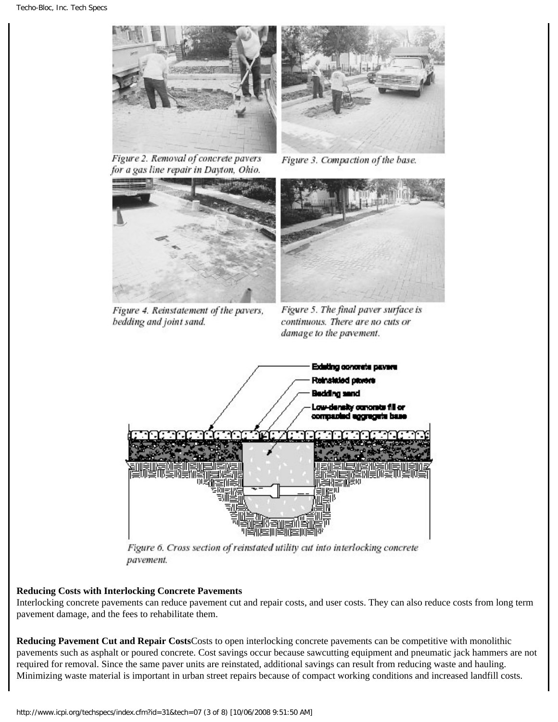

Figure 2. Removal of concrete pavers for a gas line repair in Dayton, Ohio.



Figure 3. Compaction of the base.



Figure 4. Reinstatement of the pavers, bedding and joint sand.



Figure 5. The final paver surface is continuous. There are no cuts or damage to the pavement.



Figure 6. Cross section of reinstated utility cut into interlocking concrete pavement.

# **Reducing Costs with Interlocking Concrete Pavements**

Interlocking concrete pavements can reduce pavement cut and repair costs, and user costs. They can also reduce costs from long term pavement damage, and the fees to rehabilitate them.

**Reducing Pavement Cut and Repair Costs**Costs to open interlocking concrete pavements can be competitive with monolithic pavements such as asphalt or poured concrete. Cost savings occur because sawcutting equipment and pneumatic jack hammers are not required for removal. Since the same paver units are reinstated, additional savings can result from reducing waste and hauling. Minimizing waste material is important in urban street repairs because of compact working conditions and increased landfill costs.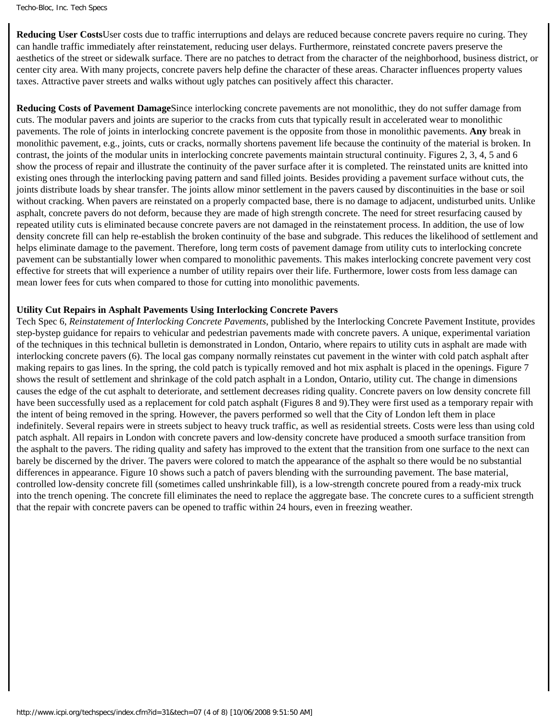```
Techo-Bloc, Inc. Tech Specs
```
**Reducing User Costs**User costs due to traffic interruptions and delays are reduced because concrete pavers require no curing. They can handle traffic immediately after reinstatement, reducing user delays. Furthermore, reinstated concrete pavers preserve the aesthetics of the street or sidewalk surface. There are no patches to detract from the character of the neighborhood, business district, or center city area. With many projects, concrete pavers help define the character of these areas. Character influences property values taxes. Attractive paver streets and walks without ugly patches can positively affect this character.

**Reducing Costs of Pavement Damage**Since interlocking concrete pavements are not monolithic, they do not suffer damage from cuts. The modular pavers and joints are superior to the cracks from cuts that typically result in accelerated wear to monolithic pavements. The role of joints in interlocking concrete pavement is the opposite from those in monolithic pavements. **Any** break in monolithic pavement, e.g., joints, cuts or cracks, normally shortens pavement life because the continuity of the material is broken. In contrast, the joints of the modular units in interlocking concrete pavements maintain structural continuity. Figures 2, 3, 4, 5 and 6 show the process of repair and illustrate the continuity of the paver surface after it is completed. The reinstated units are knitted into existing ones through the interlocking paving pattern and sand filled joints. Besides providing a pavement surface without cuts, the joints distribute loads by shear transfer. The joints allow minor settlement in the pavers caused by discontinuities in the base or soil without cracking. When pavers are reinstated on a properly compacted base, there is no damage to adjacent, undisturbed units. Unlike asphalt, concrete pavers do not deform, because they are made of high strength concrete. The need for street resurfacing caused by repeated utility cuts is eliminated because concrete pavers are not damaged in the reinstatement process. In addition, the use of low density concrete fill can help re-establish the broken continuity of the base and subgrade. This reduces the likelihood of settlement and helps eliminate damage to the pavement. Therefore, long term costs of pavement damage from utility cuts to interlocking concrete pavement can be substantially lower when compared to monolithic pavements. This makes interlocking concrete pavement very cost effective for streets that will experience a number of utility repairs over their life. Furthermore, lower costs from less damage can mean lower fees for cuts when compared to those for cutting into monolithic pavements.

## **Utility Cut Repairs in Asphalt Pavements Using Interlocking Concrete Pavers**

Tech Spec 6, *Reinstatement of Interlocking Concrete Pavements*, published by the Interlocking Concrete Pavement Institute, provides step-bystep guidance for repairs to vehicular and pedestrian pavements made with concrete pavers. A unique, experimental variation of the techniques in this technical bulletin is demonstrated in London, Ontario, where repairs to utility cuts in asphalt are made with interlocking concrete pavers (6). The local gas company normally reinstates cut pavement in the winter with cold patch asphalt after making repairs to gas lines. In the spring, the cold patch is typically removed and hot mix asphalt is placed in the openings. Figure 7 shows the result of settlement and shrinkage of the cold patch asphalt in a London, Ontario, utility cut. The change in dimensions causes the edge of the cut asphalt to deteriorate, and settlement decreases riding quality. Concrete pavers on low density concrete fill have been successfully used as a replacement for cold patch asphalt (Figures 8 and 9).They were first used as a temporary repair with the intent of being removed in the spring. However, the pavers performed so well that the City of London left them in place indefinitely. Several repairs were in streets subject to heavy truck traffic, as well as residential streets. Costs were less than using cold patch asphalt. All repairs in London with concrete pavers and low-density concrete have produced a smooth surface transition from the asphalt to the pavers. The riding quality and safety has improved to the extent that the transition from one surface to the next can barely be discerned by the driver. The pavers were colored to match the appearance of the asphalt so there would be no substantial differences in appearance. Figure 10 shows such a patch of pavers blending with the surrounding pavement. The base material, controlled low-density concrete fill (sometimes called unshrinkable fill), is a low-strength concrete poured from a ready-mix truck into the trench opening. The concrete fill eliminates the need to replace the aggregate base. The concrete cures to a sufficient strength that the repair with concrete pavers can be opened to traffic within 24 hours, even in freezing weather.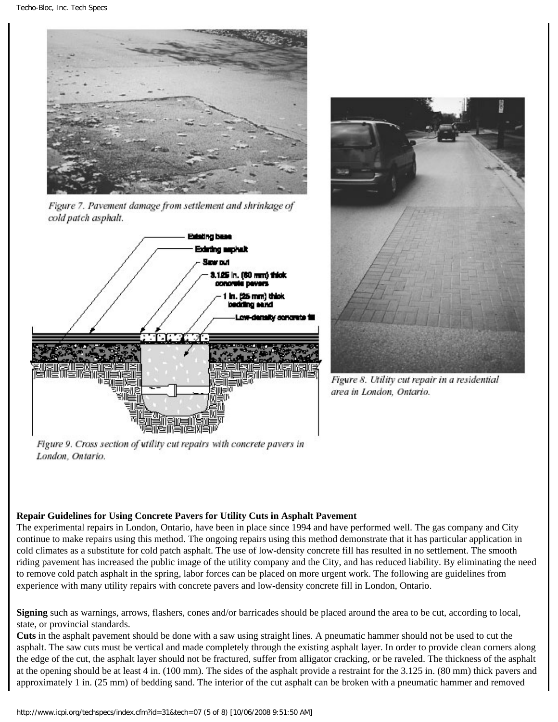

Figure 7. Pavement damage from settlement and shrinkage of cold patch asphalt.





Figure 8. Utility cut repair in a residential area in London, Ontario.

Figure 9. Cross section of utility cut repairs with concrete pavers in London, Ontario.

# **Repair Guidelines for Using Concrete Pavers for Utility Cuts in Asphalt Pavement**

The experimental repairs in London, Ontario, have been in place since 1994 and have performed well. The gas company and City continue to make repairs using this method. The ongoing repairs using this method demonstrate that it has particular application in cold climates as a substitute for cold patch asphalt. The use of low-density concrete fill has resulted in no settlement. The smooth riding pavement has increased the public image of the utility company and the City, and has reduced liability. By eliminating the need to remove cold patch asphalt in the spring, labor forces can be placed on more urgent work. The following are guidelines from experience with many utility repairs with concrete pavers and low-density concrete fill in London, Ontario.

**Signing** such as warnings, arrows, flashers, cones and/or barricades should be placed around the area to be cut, according to local, state, or provincial standards.

**Cuts** in the asphalt pavement should be done with a saw using straight lines. A pneumatic hammer should not be used to cut the asphalt. The saw cuts must be vertical and made completely through the existing asphalt layer. In order to provide clean corners along the edge of the cut, the asphalt layer should not be fractured, suffer from alligator cracking, or be raveled. The thickness of the asphalt at the opening should be at least 4 in. (100 mm). The sides of the asphalt provide a restraint for the 3.125 in. (80 mm) thick pavers and approximately 1 in. (25 mm) of bedding sand. The interior of the cut asphalt can be broken with a pneumatic hammer and removed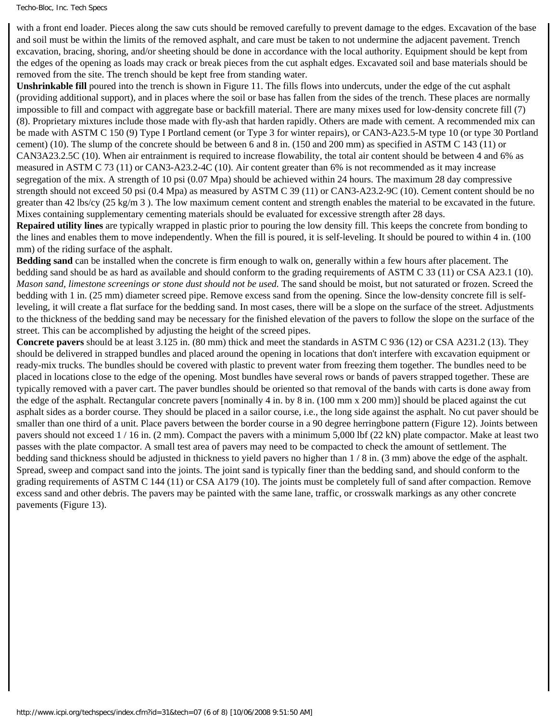### Techo-Bloc, Inc. Tech Specs

with a front end loader. Pieces along the saw cuts should be removed carefully to prevent damage to the edges. Excavation of the base and soil must be within the limits of the removed asphalt, and care must be taken to not undermine the adjacent pavement. Trench excavation, bracing, shoring, and/or sheeting should be done in accordance with the local authority. Equipment should be kept from the edges of the opening as loads may crack or break pieces from the cut asphalt edges. Excavated soil and base materials should be removed from the site. The trench should be kept free from standing water.

**Unshrinkable fill** poured into the trench is shown in Figure 11. The fills flows into undercuts, under the edge of the cut asphalt (providing additional support), and in places where the soil or base has fallen from the sides of the trench. These places are normally impossible to fill and compact with aggregate base or backfill material. There are many mixes used for low-density concrete fill (7) (8). Proprietary mixtures include those made with fly-ash that harden rapidly. Others are made with cement. A recommended mix can be made with ASTM C 150 (9) Type I Portland cement (or Type 3 for winter repairs), or CAN3-A23.5-M type 10 (or type 30 Portland cement) (10). The slump of the concrete should be between 6 and 8 in. (150 and 200 mm) as specified in ASTM C 143 (11) or CAN3A23.2.5C (10). When air entrainment is required to increase flowability, the total air content should be between 4 and 6% as measured in ASTM C 73 (11) or CAN3-A23.2-4C (10). Air content greater than 6% is not recommended as it may increase segregation of the mix. A strength of 10 psi (0.07 Mpa) should be achieved within 24 hours. The maximum 28 day compressive strength should not exceed 50 psi (0.4 Mpa) as measured by ASTM C 39 (11) or CAN3-A23.2-9C (10). Cement content should be no greater than 42 lbs/cy (25 kg/m 3 ). The low maximum cement content and strength enables the material to be excavated in the future. Mixes containing supplementary cementing materials should be evaluated for excessive strength after 28 days.

**Repaired utility lines** are typically wrapped in plastic prior to pouring the low density fill. This keeps the concrete from bonding to the lines and enables them to move independently. When the fill is poured, it is self-leveling. It should be poured to within 4 in. (100 mm) of the riding surface of the asphalt.

**Bedding sand** can be installed when the concrete is firm enough to walk on, generally within a few hours after placement. The bedding sand should be as hard as available and should conform to the grading requirements of ASTM C 33 (11) or CSA A23.1 (10). *Mason sand, limestone screenings or stone dust should not be used.* The sand should be moist, but not saturated or frozen. Screed the bedding with 1 in. (25 mm) diameter screed pipe. Remove excess sand from the opening. Since the low-density concrete fill is selfleveling, it will create a flat surface for the bedding sand. In most cases, there will be a slope on the surface of the street. Adjustments to the thickness of the bedding sand may be necessary for the finished elevation of the pavers to follow the slope on the surface of the street. This can be accomplished by adjusting the height of the screed pipes.

**Concrete pavers** should be at least 3.125 in. (80 mm) thick and meet the standards in ASTM C 936 (12) or CSA A231.2 (13). They should be delivered in strapped bundles and placed around the opening in locations that don't interfere with excavation equipment or ready-mix trucks. The bundles should be covered with plastic to prevent water from freezing them together. The bundles need to be placed in locations close to the edge of the opening. Most bundles have several rows or bands of pavers strapped together. These are typically removed with a paver cart. The paver bundles should be oriented so that removal of the bands with carts is done away from the edge of the asphalt. Rectangular concrete pavers [nominally 4 in. by 8 in. (100 mm x 200 mm)] should be placed against the cut asphalt sides as a border course. They should be placed in a sailor course, i.e., the long side against the asphalt. No cut paver should be smaller than one third of a unit. Place pavers between the border course in a 90 degree herringbone pattern (Figure 12). Joints between pavers should not exceed 1 / 16 in. (2 mm). Compact the pavers with a minimum 5,000 lbf (22 kN) plate compactor. Make at least two passes with the plate compactor. A small test area of pavers may need to be compacted to check the amount of settlement. The bedding sand thickness should be adjusted in thickness to yield pavers no higher than 1 / 8 in. (3 mm) above the edge of the asphalt. Spread, sweep and compact sand into the joints. The joint sand is typically finer than the bedding sand, and should conform to the grading requirements of ASTM C 144 (11) or CSA A179 (10). The joints must be completely full of sand after compaction. Remove excess sand and other debris. The pavers may be painted with the same lane, traffic, or crosswalk markings as any other concrete pavements (Figure 13).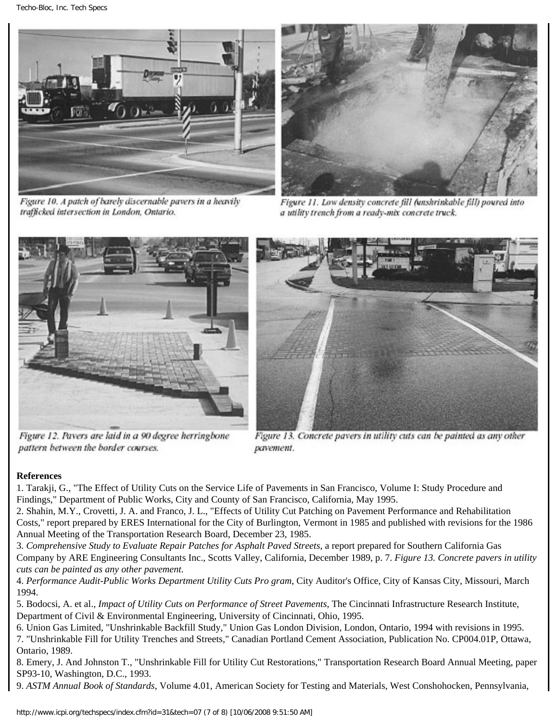Techo-Bloc, Inc. Tech Specs



Figure 10. A patch of barely discernable pavers in a heavily trafficked intersection in London, Ontario.



Figure 11. Low density concrete fill funshrinkable fill) poured into a utility trench from a ready-mix concrete truck.



Figure 12. Pavers are laid in a 90 degree herringbone pattern between the border courses.



Figure 13. Concrete pavers in utility cuts can be painted as any other pavement.

# **References**

1. Tarakji, G., "The Effect of Utility Cuts on the Service Life of Pavements in San Francisco, Volume I: Study Procedure and Findings," Department of Public Works, City and County of San Francisco, California, May 1995.

2. Shahin, M.Y., Crovetti, J. A. and Franco, J. L., "Effects of Utility Cut Patching on Pavement Performance and Rehabilitation Costs," report prepared by ERES International for the City of Burlington, Vermont in 1985 and published with revisions for the 1986 Annual Meeting of the Transportation Research Board, December 23, 1985.

3. *Comprehensive Study to Evaluate Repair Patches for Asphalt Paved Streets*, a report prepared for Southern California Gas Company by ARE Engineering Consultants Inc., Scotts Valley, California, December 1989, p. 7. *Figure 13. Concrete pavers in utility cuts can be painted as any other pavement.*

4. *Performance Audit-Public Works Department Utility Cuts Pro gram*, City Auditor's Office, City of Kansas City, Missouri, March 1994.

5. Bodocsi, A. et al., *Impact of Utility Cuts on Performance of Street Pavements,* The Cincinnati Infrastructure Research Institute, Department of Civil & Environmental Engineering, University of Cincinnati, Ohio, 1995.

6. Union Gas Limited, "Unshrinkable Backfill Study," Union Gas London Division, London, Ontario, 1994 with revisions in 1995. 7. "Unshrinkable Fill for Utility Trenches and Streets," Canadian Portland Cement Association, Publication No. CP004.01P, Ottawa, Ontario, 1989.

8. Emery, J. And Johnston T., "Unshrinkable Fill for Utility Cut Restorations," Transportation Research Board Annual Meeting, paper SP93-10, Washington, D.C., 1993.

9. *ASTM Annual Book of Standards*, Volume 4.01, American Society for Testing and Materials, West Conshohocken, Pennsylvania,